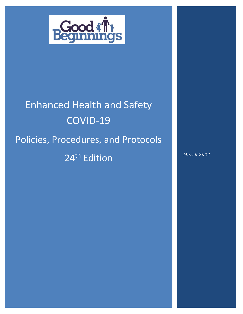

# Enhanced Health and Safety COVID-19 Policies, Procedures, and Protocols 24<sup>th</sup> Edition *March 2022*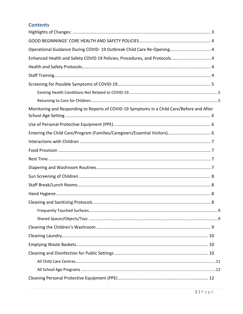# **Contents**

| Operational Guidance During COVID-19 Outbreak Child Care Re-Opening 4                      |
|--------------------------------------------------------------------------------------------|
| Enhanced Health and Safety COVID 19 Policies, Procedures, and Protocols 4                  |
|                                                                                            |
|                                                                                            |
|                                                                                            |
|                                                                                            |
|                                                                                            |
| Monitoring and Responding to Reports of COVID-19 Symptoms in a Child Care/Before and After |
|                                                                                            |
| Entering the Child Care/Program (Families/Caregivers/Essential Visitors) 6                 |
|                                                                                            |
|                                                                                            |
|                                                                                            |
|                                                                                            |
|                                                                                            |
|                                                                                            |
|                                                                                            |
|                                                                                            |
|                                                                                            |
|                                                                                            |
|                                                                                            |
|                                                                                            |
|                                                                                            |
|                                                                                            |
|                                                                                            |
|                                                                                            |
|                                                                                            |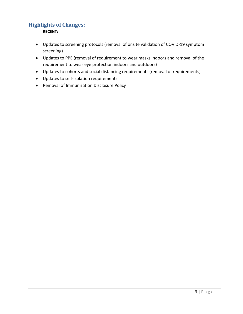# <span id="page-3-0"></span>**Highlights of Changes:**

**RECENT:** 

- Updates to screening protocols (removal of onsite validation of COVID-19 symptom screening)
- Updates to PPE (removal of requirement to wear masks indoors and removal of the requirement to wear eye protection indoors and outdoors)
- Updates to cohorts and social distancing requirements (removal of requirements)
- Updates to self-isolation requirements
- Removal of Immunization Disclosure Policy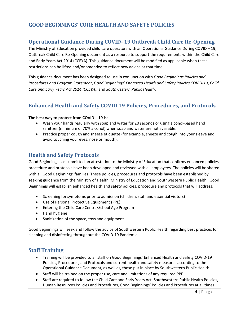# <span id="page-4-1"></span><span id="page-4-0"></span>**GOOD BEGINNINGS' CORE HEALTH AND SAFETY POLICIES**

# **Operational Guidance During COVID- 19 Outbreak Child Care Re-Opening**

The Ministry of Education provided child care operators with an Operational Guidance During COVID – 19, Outbreak Child Care Re-Opening document as a resource to support the requirements within the Child Care and Early Years Act 2014 (CCEYA). This guidance document will be modified as applicable when these restrictions can be lifted and/or amended to reflect new advice at that time.

This guidance document has been designed to use in conjunction with *Good Beginnings Policies and Procedures and Program Statement*, *Good Beginnings' Enhanced Health and Safety Policies COVID-19*, *Child Care and Early Years Act 2014 (CCEYA),* and *Southwestern Public Health*.

# <span id="page-4-2"></span>**Enhanced Health and Safety COVID 19 Policies, Procedures, and Protocols**

#### **The best way to protect from COVID – 19 is**:

- Wash your hands regularly with soap and water for 20 seconds or using alcohol-based hand sanitizer (minimum of 70% alcohol) when soap and water are not available.
- Practice proper cough and sneeze etiquette (for example, sneeze and cough into your sleeve and avoid touching your eyes, nose or mouth).

## <span id="page-4-3"></span>**Health and Safety Protocols**

Good Beginnings has submitted an attestation to the Ministry of Education that confirms enhanced policies, procedure and protocols have been developed and reviewed with all employees. The policies will be shared with all Good Beginnings' families. These policies, procedures and protocols have been established by seeking guidance from the Ministry of Health, Ministry of Education and Southwestern Public Health. Good Beginnings will establish enhanced health and safety policies, procedure and protocols that will address:

- Screening for symptoms prior to admission (children, staff and essential visitors)
- Use of Personal Protective Equipment (PPE)
- Entering the Child Care Centre/School Age Program
- Hand hygiene
- Sanitization of the space, toys and equipment

Good Beginnings will seek and follow the advice of Southwestern Public Health regarding best practices for cleaning and disinfecting throughout the COVID-19 Pandemic.

## <span id="page-4-4"></span>**Staff Training**

- Training will be provided to all staff on Good Beginnings' Enhanced Health and Safety COVID-19 Policies, Procedures, and Protocols and current health and safety measures according to the Operational Guidance Document, as well as, those put in place by Southwestern Public Health.
- Staff will be trained on the proper use, care and limitations of any required PPE.
- Staff are required to follow the Child Care and Early Years Act, Southwestern Public Health Policies, Human Resources Policies and Procedures, Good Beginnings' Policies and Procedures at all times.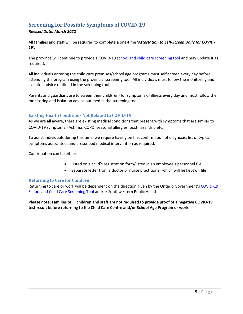# <span id="page-5-0"></span>**Screening for Possible Symptoms of COVID-19**

## *Revised Date: March 2022*

All families and staff will be required to complete a one-time **'***Attestation to Self-Screen Daily for COVID-19'.*

The province will continue to provide a COVID-1[9 school and child care screening tool](https://covid-19.ontario.ca/school-screening/) and may update it as required**.** 

All individuals entering the child care premises/school age programs must self-screen every day before attending the program using the provincial screening tool. All individuals must follow the monitoring and isolation advice outlined in the screening tool.

Parents and guardians are to screen their child(ren) for symptoms of illness every day and must follow the monitoring and isolation advice outlined in the screening tool.

## <span id="page-5-1"></span>**Existing Health Conditions Not Related to COVID-19**

As we are all aware, there are existing medical conditions that present with symptoms that are similar to COVID-19 symptoms. (Asthma, COPD, seasonal allergies, post nasal drip etc.)

To assist individuals during this time, we require having on file, confirmation of diagnosis; list of typical symptoms associated, and prescribed medical intervention as required.

Confirmation can be either:

- Listed on a child's registration form/listed in an employee's personnel file
- Separate letter from a doctor or nurse practitioner which will be kept on file

#### <span id="page-5-2"></span>**Returning to Care for Children**

Returning to care or work will be dependent on the direction given by the Ontario Government's [COVID-19](https://covid-19.ontario.ca/school-screening/)  [School and Child Care Screening Tool](https://covid-19.ontario.ca/school-screening/) and/or Southwestern Public Health.

**Please note: Families of ill children and staff are not required to provide proof of a negative COVID-19 test result before returning to the Child Care Centre and/or School Age Program or work.**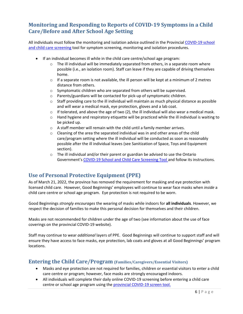# <span id="page-6-0"></span>**Monitoring and Responding to Reports of COVID-19 Symptoms in a Child Care/Before and After School Age Setting**

All individuals must follow the monitoring and isolation advice outlined in the Provincial [COVID-19 school](https://covid-19.ontario.ca/school-screening/)  [and child care screening](https://covid-19.ontario.ca/school-screening/) tool for symptom screening, monitoring and isolation procedures.

- If an individual becomes ill while in the child care centre/school age program:
	- $\circ$  The ill individual will be immediately separated from others, in a separate room where possible (i.e., an isolation room). Staff can leave if they are capable of driving themselves home.
	- $\circ$  If a separate room is not available, the ill person will be kept at a minimum of 2 metres distance from others.
	- o Symptomatic children who are separated from others will be supervised.
	- o Parents/guardians will be contacted for pick-up of symptomatic children.
	- $\circ$  Staff providing care to the ill individual will maintain as much physical distance as possible and will wear a medical mask, eye protection, gloves and a lab coat.
	- $\circ$  If tolerated, and above the age of two (2), the ill individual will also wear a medical mask.
	- $\circ$  Hand hygiene and respiratory etiquette will be practiced while the ill individual is waiting to be picked up.
	- o A staff member will remain with the child until a family member arrives.
	- $\circ$  Cleaning of the area the separated individual was in and other areas of the child care/program setting where the ill individual will be conducted as soon as reasonably possible after the ill individual leaves (see Sanitization of Space, Toys and Equipment section).
	- $\circ$  The ill individual and/or their parent or guardian be advised to use the Ontario Government's [COVID-19 School and Child Care Screening Tool](https://covid-19.ontario.ca/school-screening/) and follow its instructions.

# <span id="page-6-1"></span>**Use of Personal Protective Equipment (PPE)**

As of March 21, 2022, the province has removed the requirement for masking and eye protection with licensed child care. However, Good Beginnings' employees will continue to wear face masks when *inside* a child care centre or school age program. Eye protection is not required to be worn.

Good Beginnings *strongly encourages* the wearing of masks while indoors for **all individuals**. However, we respect the decision of families to make this personal decision for themselves and their children.

Masks are not recommended for children under the age of two (see information about the use of face coverings on the provincial COVID-19 website).

Staff may continue to wear *additional* layers of PPE. Good Beginnings will continue to support staff and will ensure they have access to face masks, eye protection, lab coats and gloves at all Good Beginnings' program locations.

## <span id="page-6-2"></span>**Entering the Child Care/Program (Families/Caregivers/Essential Visitors)**

- Masks and eye protection are not required for families, children or essential visitors to enter a child care centre or program; however, face masks are strongly encouraged indoors.
- All individuals will complete their daily online COVID-19 screening before entering a child care centre or school age program using the [provincial COVID-19 screen tool.](https://covid-19.ontario.ca/school-screening/)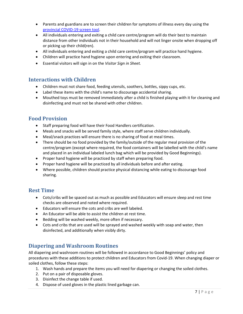- Parents and guardians are to screen their children for symptoms of illness every day using the [provincial COVID-19 screen tool.](https://covid-19.ontario.ca/school-screening/)
- All individuals entering and exiting a child care centre/program will do their best to maintain distance from other individuals not in their household and will not linger onsite when dropping off or picking up their child(ren).
- All individuals entering and exiting a child care centre/program will practice hand hygiene.
- Children will practice hand hygiene upon entering and exiting their classroom.
- Essential visitors will sign in on the *Visitor Sign in Sheet.*

## <span id="page-7-0"></span>**Interactions with Children**

- Children must not share food, feeding utensils, soothers, bottles, sippy cups, etc.
- Label these items with the child's name to discourage accidental sharing.
- Mouthed toys must be removed immediately after a child is finished playing with it for cleaning and disinfecting and must not be shared with other children.

## <span id="page-7-1"></span>**Food Provision**

- Staff preparing food will have their Food Handlers certification.
- Meals and snacks will be served family style, where staff serve children individually.
- Meal/snack practices will ensure there is no sharing of food at meal times.
- There should be no food provided by the family/outside of the regular meal provision of the centre/program (except where required, the food containers will be labelled with the child's name and placed in an individual labeled lunch bag which will be provided by Good Beginnings).
- Proper hand hygiene will be practiced by staff when preparing food.
- Proper hand hygiene will be practiced by all individuals before and after eating.
- Where possible, children should practice physical distancing while eating to discourage food sharing.

## <span id="page-7-2"></span>**Rest Time**

- Cots/cribs will be spaced out as much as possible and Educators will ensure sleep and rest time checks are observed and noted where required.
- Educators will ensure the cots and cribs are well labeled.
- An Educator will be able to assist the children at rest time.
- Bedding will be washed weekly, more often if necessary.
- Cots and cribs that are used will be sprayed and washed weekly with soap and water, then disinfected, and additionally when visibly dirty.

## <span id="page-7-3"></span>**Diapering and Washroom Routines**

All diapering and washroom routines will be followed in accordance to Good Beginnings' policy and procedures with these additions to protect children and Educators from Covid-19. When changing diaper or soiled clothes, follow these steps:

- 1. Wash hands and prepare the items you will need for diapering or changing the soiled clothes.
- 2. Put on a pair of disposable gloves.
- 3. Disinfect the change table if used.
- 4. Dispose of used gloves in the plastic lined garbage can.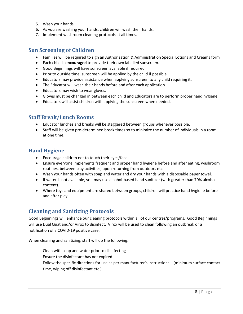- 5. Wash your hands.
- 6. As you are washing your hands, children will wash their hands.
- <span id="page-8-0"></span>7. Implement washroom cleaning protocols at all times.

## **Sun Screening of Children**

- Families will be required to sign an Authorization & Administration Special Lotions and Creams form
- Each child is **encouraged** to provide their own labelled sunscreen.
- Good Beginnings will have sunscreen available if required.
- Prior to outside time, sunscreen will be applied by the child if possible.
- Educators may provide assistance when applying sunscreen to any child requiring it.
- The Educator will wash their hands before and after each application.
- Educators may wish to wear gloves.
- Gloves must be changed in between each child and Educators are to perform proper hand hygiene.
- <span id="page-8-1"></span>• Educators will assist children with applying the sunscreen when needed.

## **Staff Break/Lunch Rooms**

- Educator lunches and breaks will be staggered between groups whenever possible.
- Staff will be given pre-determined break times so to minimize the number of individuals in a room at one time.

## <span id="page-8-2"></span>**Hand Hygiene**

- Encourage children not to touch their eyes/face.
- Ensure everyone implements frequent and proper hand hygiene before and after eating, washroom routines, between play activities, upon returning from outdoors etc.
- Wash your hands often with soap and water and dry your hands with a disposable paper towel.
- If water is not available, you may use alcohol-based hand sanitizer (with greater than 70% alcohol content).
- Where toys and equipment are shared between groups, children will practice hand hygiene before and after play

# <span id="page-8-3"></span>**Cleaning and Sanitizing Protocols**

Good Beginnings will enhance our cleaning protocols within all of our centres/programs. Good Beginnings will use Dual Quat and/or Virox to disinfect. Virox will be used to clean following an outbreak or a notification of a COVID-19 positive case.

When cleaning and sanitizing, staff will do the following:

- Clean with soap and water prior to disinfecting
- Ensure the disinfectant has not expired
- Follow the specific directions for use as per manufacturer's instructions (minimum surface contact time, wiping off disinfectant etc.)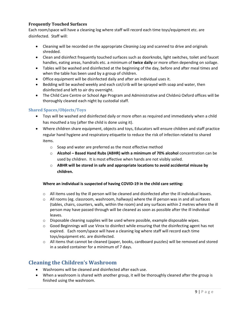## <span id="page-9-0"></span>**Frequently Touched Surfaces**

Each room/space will have a cleaning log where staff will record each time toys/equipment etc. are disinfected. Staff will:

- Cleaning will be recorded on the appropriate *Cleaning Log* and scanned to drive and originals shredded.
- Clean and disinfect frequently touched surfaces such as doorknobs, light switches, toilet and faucet handles, eating areas, handrails etc. a minimum of **twice daily** or more often depending on soilage.
- Tables will be washed and disinfected at the beginning of the day, before and after meal times and when the table has been used by a group of children.
- Office equipment will be disinfected daily and after an individual uses it.
- Bedding will be washed weekly and each cot/crib will be sprayed with soap and water, then disinfected and left to air dry overnight.
- The Child Care Centre or School Age Program and Administrative and Chıldınü Oxford offices will be thoroughly cleaned each night by custodial staff.

## <span id="page-9-1"></span>**Shared Spaces/Objects/Toys**

- Toys will be washed and disinfected daily or more often as required and immediately when a child has mouthed a toy (after the child is done using it).
- Where children share equipment, objects and toys, Educators will ensure children and staff practice regular hand hygiene and respiratory etiquette to reduce the risk of infection related to shared items.
	- o Soap and water are preferred as the most effective method
	- o **Alcohol – Based Hand Rubs (ABHR) with a minimum of 70% alcohol** concentration can be used by children. It is most effective when hands are not visibly soiled.
	- o **ABHR will be stored in safe and appropriate locations to avoid accidental misuse by children.**

#### **Where an individual is suspected of having COVID-19 in the child care setting:**

- o All items used by the ill person will be cleaned and disinfected after the ill individual leaves.
- $\circ$  All rooms (eg. classroom, washroom, hallways) where the ill person was in and all surfaces (tables, chairs, counters, walls, within the room) and any surfaces within 2 metres where the ill person may have passed through will be cleaned as soon as possible after the ill individual leaves.
- $\circ$  Disposable cleaning supplies will be used where possible, example disposable wipes.
- $\circ$  Good Beginnings will use Virox to disinfect while ensuring that the disinfecting agent has not expired. Each room/space will have a cleaning log where staff will record each time toys/equipment etc. are disinfected.
- o All items that cannot be cleaned (paper, books, cardboard puzzles) will be removed and stored in a sealed container for a minimum of 7 days.

## <span id="page-9-2"></span>**Cleaning the Children's Washroom**

- Washrooms will be cleaned and disinfected after each use.
- When a washroom is shared with another group, it will be thoroughly cleaned after the group is finished using the washroom.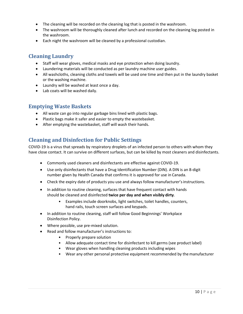- The cleaning will be recorded on the cleaning log that is posted in the washroom.
- The washroom will be thoroughly cleaned after lunch and recorded on the cleaning log posted in the washroom.
- <span id="page-10-0"></span>• Each night the washroom will be cleaned by a professional custodian.

## **Cleaning Laundry**

- Staff will wear gloves, medical masks and eye protection when doing laundry.
- Laundering materials will be conducted as per laundry machine user guides.
- All washcloths, cleaning cloths and towels will be used one time and then put in the laundry basket or the washing machine.
- Laundry will be washed at least once a day.
- <span id="page-10-1"></span>• Lab coats will be washed daily.

## **Emptying Waste Baskets**

- All waste can go into regular garbage bins lined with plastic bags.
- Plastic bags make it safer and easier to empty the wastebasket.
- <span id="page-10-2"></span>• After emptying the wastebasket, staff will wash their hands.

## **Cleaning and Disinfection for Public Settings**

COVID-19 is a virus that spreads by respiratory droplets of an infected person to others with whom they have close contact. It can survive on different surfaces, but can be killed by most cleaners and disinfectants.

- Commonly used cleaners and disinfectants are effective against COVID-19.
- Use only disinfectants that have a Drug Identification Number (DIN). A DIN is an 8-digit number given by Health Canada that confirms it is approved for use in Canada.
- Check the expiry date of products you use and always follow manufacturer's instructions.
- In addition to routine cleaning, surfaces that have frequent contact with hands should be cleaned and disinfected **twice per day and when visibly dirty**.
	- Examples include doorknobs, light switches, toilet handles, counters, hand rails, touch screen surfaces and keypads.
- In addition to routine cleaning, staff will follow Good Beginnings' Workplace Disinfection Policy.
- Where possible, use pre-mixed solution.
- Read and follow manufacturer's instructions to:
	- Properly prepare solution
	- Allow adequate contact time for disinfectant to kill germs (see product label)
	- Wear gloves when handling cleaning products including wipes
	- Wear any other personal protective equipment recommended by the manufacturer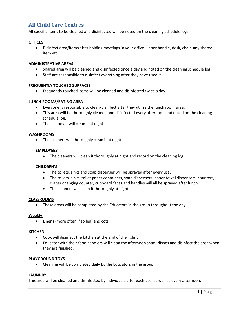# <span id="page-11-0"></span>**All Child Care Centres**

All specific items to be cleaned and disinfected will be noted on the cleaning schedule logs.

#### **OFFICES**

• Disinfect area/items after holding meetings in your office – door handle, desk, chair, any shared item etc.

#### **ADMINISTRATIVE AREAS**

- Shared area will be cleaned and disinfected once a day and noted on the cleaning schedule log.
- Staff are responsible to disinfect everything after they have used it.

#### **FREQUENTLY TOUCHED SURFACES**

• Frequently touched items will be cleaned and disinfected twice a day.

#### **LUNCH ROOMS/EATING AREA**

- Everyone is responsible to clean/disinfect after they utilize the lunch room area.
- This area will be thoroughly cleaned and disinfected every afternoon and noted on the cleaning schedule log.
- The custodian will clean it at night.

#### **WASHROOMS**

• The cleaners will thoroughly clean it at night.

#### **EMPLOYEES'**

• The cleaners will clean it thoroughly at night and record on the cleaning log.

#### **CHILDREN'S**

- The toilets, sinks and soap dispenser will be sprayed after every use.
- The toilets, sinks, toilet paper containers, soap dispensers, paper towel dispensers, counters, diaper changing counter, cupboard faces and handles will all be sprayed after lunch.
- The cleaners will clean it thoroughly at night.

#### **CLASSROOMS**

• These areas will be completed by the Educators in the group throughout the day.

#### **Weekly**

• Linens (more often if soiled) and cots

#### **KITCHEN**

- Cook will disinfect the kitchen at the end of their shift
- Educator with their food handlers will clean the afternoon snack dishes and disinfect the area when they are finished.

#### **PLAYGROUND TOYS**

• Cleaning will be completed daily by the Educators in the group.

#### **LAUNDRY**

This area will be cleaned and disinfected by individuals after each use, as well as every afternoon.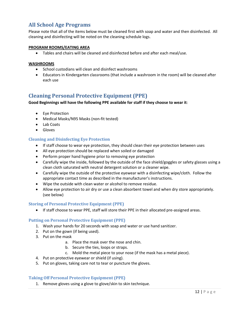# <span id="page-12-0"></span>**All School Age Programs**

Please note that all of the items below must be cleaned first with soap and water and then disinfected. All cleaning and disinfecting will be noted on the cleaning schedule logs.

#### **PROGRAM ROOMS/EATING AREA**

• Tables and chairs will be cleaned and disinfected before and after each meal/use.

#### **WASHROOMS**

- School custodians will clean and disinfect washrooms
- Educators in Kindergarten classrooms (that include a washroom in the room) will be cleaned after each use

## <span id="page-12-1"></span>**Cleaning Personal Protective Equipment (PPE)**

#### **Good Beginnings will have the following PPE available for staff if they choose to wear it**:

- Eye Protection
- Medical Masks/N95 Masks (non-fit tested)
- Lab Coats
- Gloves

#### <span id="page-12-2"></span>**Cleaning and Disinfecting Eye Protection**

- If staff choose to wear eye protection, they should clean their eye protection between uses
- All eye protection should be replaced when soiled or damaged
- Perform proper hand hygiene prior to removing eye protection
- Carefully wipe the inside, followed by the outside of the face shield/goggles or safety glasses using a clean cloth saturated with neutral detergent solution or a cleaner wipe.
- Carefully wipe the outside of the protective eyewear with a disinfecting wipe/cloth. Follow the appropriate contact time as described in the manufacturer's instructions.
- Wipe the outside with clean water or alcohol to remove residue.
- Allow eye protection to air dry or use a clean absorbent towel and when dry store appropriately. (see below)

#### <span id="page-12-3"></span>**Storing of Personal Protective Equipment (PPE)**

• If staff choose to wear PPE, staff will store their PPE in their allocated pre-assigned areas.

#### <span id="page-12-4"></span>**Putting on Personal Protective Equipment (PPE)**

- 1. Wash your hands for 20 seconds with soap and water or use hand sanitizer.
- 2. Put on the gown (if being used).
- 3. Put on the mask
	- a. Place the mask over the nose and chin.
	- b. Secure the ties, loops or straps.
	- c. Mold the metal piece to your nose (if the mask has a metal piece).
- 4. Put on protective eyewear or shield (if using).
- 5. Put on gloves, taking care not to tear or puncture the gloves.

#### <span id="page-12-5"></span>**Taking Off Personal Protective Equipment (PPE)**

1. Remove gloves using a glove to glove/skin to skin technique.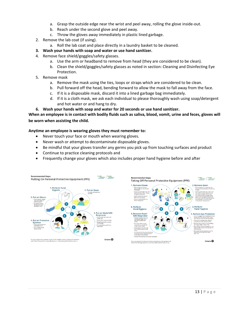- a. Grasp the outside edge near the wrist and peel away, rolling the glove inside-out.
- b. Reach under the second glove and peel away.
- c. Throw the gloves away immediately in plastic lined garbage.
- 2. Remove the lab coat (if using).
	- a. Roll the lab coat and place directly in a laundry basket to be cleaned.
- **3. Wash your hands with soap and water or use hand sanitizer.**
- 4. Remove face shield/goggles/safety glasses.
	- a. Use the arm or headband to remove from head (they are considered to be clean).
	- b. Clean the shield/goggles/safety glasses as noted in section: Cleaning and Disinfecting Eye Protection.
- 5. Remove mask
	- a. Remove the mask using the ties, loops or straps which are considered to be clean.
	- b. Pull forward off the head, bending forward to allow the mask to fall away from the face.
	- c. If it is a disposable mask, discard it into a lined garbage bag immediately.
	- d. If it is a cloth mask, we ask each individual to please thoroughly wash using soap/detergent and hot water or and hang to dry.
- **6. Wash your hands with soap and water for 20 seconds or use hand sanitizer.**

**When an employee is in contact with bodily fluids such as saliva, blood, vomit, urine and feces, gloves will be worn when assisting the child.** 

#### **Anytime an employee is wearing gloves they must remember to:**

- Never touch your face or mouth when wearing gloves.
- Never wash or attempt to decontaminate disposable gloves.
- Be mindful that your gloves transfer any germs you pick up from touching surfaces and product
- Continue to practice cleaning protocols and
- Frequently change your gloves which also includes proper hand hygiene before and after

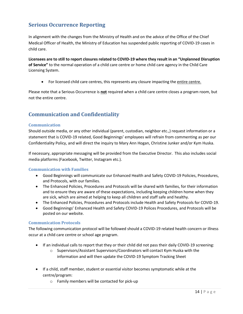# <span id="page-14-0"></span>**Serious Occurrence Reporting**

In alignment with the changes from the Ministry of Health and on the advice of the Office of the Chief Medical Officer of Health, the Ministry of Education has suspended public reporting of COVID-19 cases in child care.

**Licensees are to still to report closures related to COVID-19 where they result in an "Unplanned Disruption of Service"** to the normal operation of a child care centre or home child care agency in the Child Care Licensing System.

• For licensed child care centres, this represents any closure impacting the entire centre.

Please note that a Serious Occurrence is **not** required when a child care centre closes a program room, but not the entire centre.

## <span id="page-14-1"></span>**Communication and Confidentiality**

#### <span id="page-14-2"></span>**Communication**

Should outside media, or any other individual (parent, custodian, neighbor etc.,) request information or a statement that is COVID-19 related, Good Beginnings' employees will refrain from commenting as per our Confidentiality Policy, and will direct the inquiry to Mary Ann Hogan, Christine Junker and/or Kym Huska.

If necessary, appropriate messaging will be provided from the Executive Director. This also includes social media platforms (Facebook, Twitter, Instagram etc.).

#### <span id="page-14-3"></span>**Communication with Families**

- Good Beginnings will communicate our Enhanced Health and Safety COVID-19 Policies, Procedures, and Protocols, with our families.
- The Enhanced Policies, Procedures and Protocols will be shared with families, for their information and to ensure they are aware of these expectations, including keeping children home when they are sick, which are aimed at helping to keep all children and staff safe and healthy.
- The Enhanced Policies, Procedures and Protocols include Health and Safety Protocols for COVID-19.
- Good Beginnings' Enhanced Health and Safety COVID-19 Polices Procedures, and Protocols will be posted on our website.

#### <span id="page-14-4"></span>**Communication Protocols**

The following communication protocol will be followed should a COVID-19 related health concern or illness occur at a child care centre or school age program.

- If an individual calls to report that they or their child did not pass their daily COVID-19 screening:
	- o Supervisors/Assistant Supervisors/Coordinators will contact Kym Huska with the information and will then update the COVID-19 Symptom Tracking Sheet
- If a child, staff member, student or essential visitor becomes symptomatic while at the centre/program:
	- o Family members will be contacted for pick-up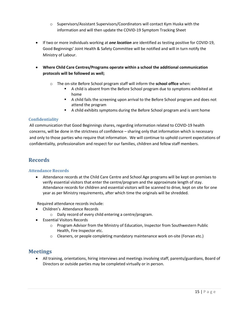- o Supervisors/Assistant Supervisors/Coordinators will contact Kym Huska with the information and will then update the COVID-19 Symptom Tracking Sheet
- If two or more individuals working at *one location* are identified as testing positive for COVID-19, Good Beginnings' Joint Health & Safety Committee will be notified and will in turn notify the Ministry of Labour.
- **Where Child Care Centres/Programs operate within a school the additional communication protocols will be followed as well;**
	- o The on-site Before School program staff will inform the **school office** when:
		- A child is absent from the Before School program due to symptoms exhibited at home
		- A child fails the screening upon arrival to the Before School program and does not attend the program
		- A child exhibits symptoms during the Before School program and is sent home

## <span id="page-15-0"></span>**Confidentiality**

All communication that Good Beginnings shares, regarding information related to COVID-19 health concerns, will be done in the strictness of confidence – sharing only that information which is necessary and only to those parties who require that information. We will continue to uphold current expectations of confidentiality, professionalism and respect for our families, children and fellow staff members.

# <span id="page-15-1"></span>**Records**

## <span id="page-15-2"></span>**Attendance Records**

• Attendance records at the Child Care Centre and School Age programs will be kept on premises to verify essential visitors that enter the centre/program and the approximate length of stay. Attendance records for children and essential visitors will be scanned to drive, kept on site for one year as per Ministry requirements, after which time the originals will be shredded.

Required attendance records include:

- Children's Attendance Records
	- o Daily record of every child entering a centre/program.
- Essential Visitors Records
	- o Program Advisor from the Ministry of Education, Inspector from Southwestern Public Health, Fire Inspector etc.
	- $\circ$  Cleaners, or people completing mandatory maintenance work on-site (Forvan etc.)

## <span id="page-15-3"></span>**Meetings**

• All training, orientations, hiring interviews and meetings involving staff, parents/guardians, Board of Directors or outside parties may be completed virtually or in person.